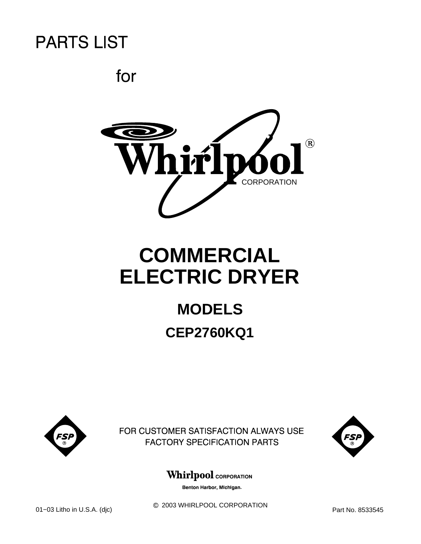for



# **COMMERCIAL ELECTRIC DRYER**

## **MODELS CEP2760KQ1**



FOR CUSTOMER SATISFACTION ALWAYS USE **FACTORY SPECIFICATION PARTS** 



### **Whirlpool** CORPORATION

Benton Harbor, Michigan.

 $@$  2003 WHIRLPOOL CORPORATION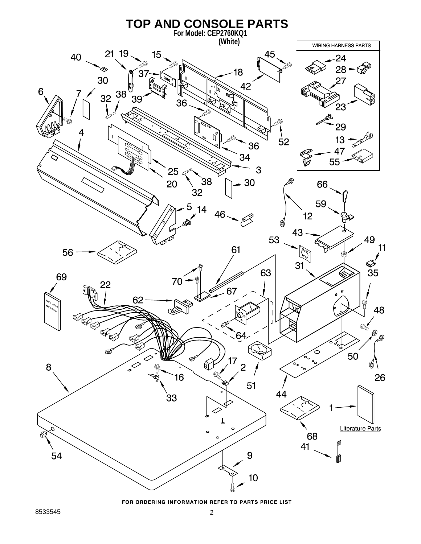

FOR ORDERING INFORMATION REFER TO PARTS PRICE LIST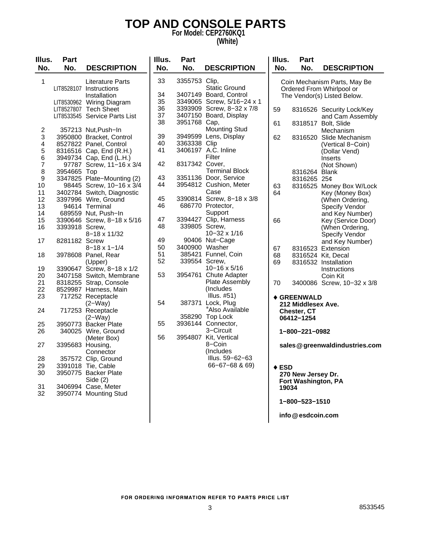### **TOP AND CONSOLE PARTS For Model: CEP2760KQ1**

### **(White)**

| Illus.<br>No.  | <b>Part</b><br>No. | <b>DESCRIPTION</b>                                                 | Illus.<br>No. | <b>Part</b><br>No. | <b>DESCRIPTION</b>                             | Illus.<br>No.                                                                            | Part<br>No.         | <b>DESCRIPTION</b>             |
|----------------|--------------------|--------------------------------------------------------------------|---------------|--------------------|------------------------------------------------|------------------------------------------------------------------------------------------|---------------------|--------------------------------|
| $\mathbf{1}$   |                    | <b>Literature Parts</b><br>LIT8528107 Instructions<br>Installation | 33<br>34      | 3355753 Clip,      | <b>Static Ground</b><br>3407149 Board, Control | Coin Mechanism Parts, May Be<br>Ordered From Whirlpool or<br>The Vendor(s) Listed Below. |                     |                                |
|                |                    | LIT8530962 Wiring Diagram                                          | 35            |                    | 3349065 Screw, 5/16-24 x 1                     |                                                                                          |                     |                                |
|                |                    | LIT8527807 Tech Sheet                                              | 36            |                    | 3393909 Screw, 8-32 x 7/8                      | 59                                                                                       |                     | 8316526 Security Lock/Key      |
|                |                    | LIT8533545 Service Parts List                                      | 37            |                    | 3407150 Board, Display                         |                                                                                          |                     | and Cam Assembly               |
|                |                    |                                                                    | 38            | 3951768 Cap,       |                                                | 61                                                                                       |                     | 8318517 Bolt, Slide            |
| $\overline{2}$ |                    | 357213 Nut, Push-In                                                |               |                    | <b>Mounting Stud</b>                           |                                                                                          |                     | Mechanism                      |
| 3              |                    | 3950800 Bracket, Control                                           | 39            |                    | 3949599 Lens, Display                          | 62                                                                                       |                     | 8316520 Slide Mechanism        |
| 4              |                    | 8527822 Panel, Control                                             | 40            | 3363338 Clip       |                                                |                                                                                          |                     | (Vertical 8-Coin)              |
| 5              |                    | 8316516 Cap, End (R.H.)                                            | 41            |                    | 3406197 A.C. Inline                            |                                                                                          |                     | (Dollar Vend)                  |
| 6              |                    | 3949734 Cap, End (L.H.)                                            |               |                    | Filter                                         |                                                                                          |                     | Inserts                        |
| $\overline{7}$ |                    | 97787 Screw, 11-16 x 3/4                                           | 42            | 8317342 Cover,     |                                                |                                                                                          |                     | (Not Shown)                    |
| 8              | 3954665 Top        |                                                                    |               |                    | <b>Terminal Block</b>                          |                                                                                          | 8316264 Blank       |                                |
| 9              |                    | 3347825 Plate-Mounting (2)                                         | 43            |                    | 3351136 Door, Service                          |                                                                                          | 8316265 25¢         |                                |
| 10             |                    | 98445 Screw, 10-16 x 3/4                                           | 44            |                    | 3954812 Cushion, Meter                         | 63                                                                                       |                     | 8316525 Money Box W/Lock       |
| 11             |                    | 3402784 Switch, Diagnostic                                         |               |                    | Case                                           | 64                                                                                       |                     | Key (Money Box)                |
| 12             |                    | 3397996 Wire, Ground                                               | 45            |                    | 3390814 Screw, 8-18 x 3/8                      |                                                                                          |                     | (When Ordering,                |
| 13             |                    | 94614 Terminal                                                     | 46            |                    | 686770 Protector,                              |                                                                                          |                     | Specify Vendor                 |
| 14             |                    | 689559 Nut, Push-In                                                |               |                    | Support                                        |                                                                                          |                     | and Key Number)                |
| 15             |                    | 3390646 Screw, 8-18 x 5/16                                         | 47            |                    | 3394427 Clip, Harness                          | 66                                                                                       |                     | Key (Service Door)             |
| 16             | 3393918 Screw,     |                                                                    | 48            | 339805 Screw,      |                                                |                                                                                          |                     | (When Ordering,                |
|                |                    | 8-18 x 11/32                                                       |               |                    | 10-32 x 1/16                                   |                                                                                          |                     | Specify Vendor                 |
| 17             | 8281182 Screw      |                                                                    | 49            |                    | 90406 Nut-Cage                                 |                                                                                          |                     | and Key Number)                |
|                |                    | $8 - 18 \times 1 - 1/4$                                            | 50            | 3400900 Washer     |                                                | 67                                                                                       |                     | 8316523 Extension              |
| 18             |                    | 3978608 Panel, Rear                                                | 51            |                    | 385421 Funnel, Coin                            | 68                                                                                       |                     | 8316524 Kit, Decal             |
|                |                    | (Upper)                                                            | 52            |                    | 339554 Screw,                                  | 69                                                                                       |                     | 8316532 Installation           |
| 19             |                    | 3390647 Screw, 8-18 x 1/2                                          |               |                    | $10 - 16 \times 5/16$                          |                                                                                          |                     | Instructions                   |
| 20             |                    | 3407158 Switch, Membrane                                           | 53            |                    | 3954761 Chute Adapter                          |                                                                                          |                     | Coin Kit                       |
| 21             |                    | 8318255 Strap, Console                                             |               |                    | <b>Plate Assembly</b>                          | 70                                                                                       |                     | 3400086 Screw, 10-32 x 3/8     |
| 22             |                    | 8529987 Harness, Main                                              |               |                    | (Includes                                      |                                                                                          |                     |                                |
| 23             |                    | 717252 Receptacle                                                  |               |                    | Illus. $#51)$                                  |                                                                                          | <b>♦ GREENWALD</b>  |                                |
|                |                    | $(2-Way)$                                                          | 54            |                    | 387371 Lock, Plug                              |                                                                                          | 212 Middlesex Ave.  |                                |
| 24             |                    | 717253 Receptacle                                                  |               |                    | *Also Available                                |                                                                                          | Chester, CT         |                                |
|                |                    | $(2-Way)$                                                          |               |                    | 358290 Top Lock                                |                                                                                          | 06412-1254          |                                |
| 25             |                    | 3950773 Backer Plate                                               | 55            |                    | 3936144 Connector,                             |                                                                                          |                     |                                |
| 26             |                    | 340025 Wire, Ground                                                |               |                    | 3-Circuit                                      |                                                                                          | 1-800-221-0982      |                                |
|                |                    | (Meter Box)                                                        | 56            |                    | 3954807 Kit, Vertical                          |                                                                                          |                     |                                |
| 27             | 3395683 Housing,   |                                                                    |               |                    | 8-Coin                                         |                                                                                          |                     | sales @greenwaldindustries.com |
|                |                    | Connector                                                          |               |                    | (Includes)                                     |                                                                                          |                     |                                |
| 28             |                    | 357572 Clip, Ground                                                |               |                    | Illus. 59-62-63                                |                                                                                          |                     |                                |
| 29             |                    | 3391018 Tie, Cable                                                 |               |                    | $66 - 67 - 68$ & 69)                           | $\triangle$ ESD                                                                          |                     |                                |
| 30             |                    | 3950775 Backer Plate                                               |               |                    |                                                |                                                                                          | 270 New Jersey Dr.  |                                |
|                |                    | Side $(2)$                                                         |               |                    |                                                |                                                                                          | Fort Washington, PA |                                |
| 31             |                    | 3406994 Case, Meter                                                |               |                    |                                                | 19034                                                                                    |                     |                                |
| 32             |                    | 3950774 Mounting Stud                                              |               |                    |                                                |                                                                                          |                     |                                |
|                |                    |                                                                    |               |                    |                                                |                                                                                          | 1-800-523-1510      |                                |
|                |                    |                                                                    |               |                    |                                                |                                                                                          |                     |                                |

**info esdcoin.com @**

FOR ORDERING INFORMATION REFER TO PARTS PRICE LIST

 $\overline{\phantom{a}}$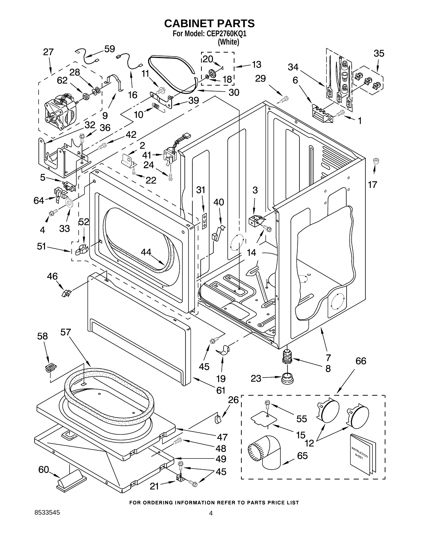

FOR ORDERING INFORMATION REFER TO PARTS PRICE LIST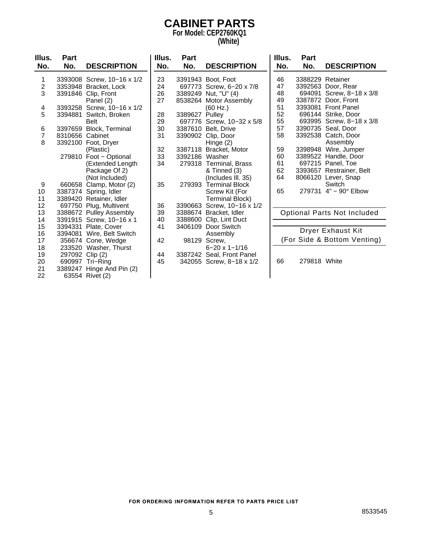### **CABINET PARTS For Model: CEP2760KQ1**

**(White)**

| Illus.         | Part            |                            | Illus. | Part           |                            | Illus. | Part             |                                    |
|----------------|-----------------|----------------------------|--------|----------------|----------------------------|--------|------------------|------------------------------------|
| No.            | No.             | <b>DESCRIPTION</b>         | No.    | No.            | <b>DESCRIPTION</b>         | No.    | No.              | <b>DESCRIPTION</b>                 |
| 1              |                 | 3393008 Screw, 10-16 x 1/2 | 23     |                | 3391943 Boot, Foot         | 46     | 3388229 Retainer |                                    |
| $\overline{2}$ |                 | 3353948 Bracket, Lock      | 24     |                | 697773 Screw, 6-20 x 7/8   | 47     |                  | 3392563 Door, Rear                 |
| 3              |                 | 3391846 Clip, Front        | 26     |                | 3389249 Nut, "U" (4)       | 48     |                  | 694091 Screw, 8-18 x 3/8           |
|                |                 | Panel (2)                  | 27     |                | 8538264 Motor Assembly     | 49     |                  | 3387872 Door, Front                |
| 4              |                 | 3393258 Screw, 10-16 x 1/2 |        |                | (60 Hz.)                   | 51     |                  | 3393081 Front Panel                |
| 5              | 3394881         | Switch, Broken             | 28     | 3389627 Pulley |                            | 52     |                  | 696144 Strike, Door                |
|                |                 | <b>Belt</b>                | 29     |                | 697776 Screw, 10-32 x 5/8  | 55     |                  | 693995 Screw, 8-18 x 3/8           |
| 6              | 3397659         | <b>Block, Terminal</b>     | 30     |                | 3387610 Belt, Drive        | 57     |                  | 3390735 Seal, Door                 |
| $\overline{7}$ | 8310656 Cabinet |                            | 31     |                | 3390902 Clip, Door         | 58     |                  | 3392538 Catch, Door                |
| 8              |                 | 3392100 Foot, Dryer        |        |                | Hinge $(2)$                |        |                  | Assembly                           |
|                |                 | (Plastic)                  | 32     |                | 3387118 Bracket, Motor     | 59     | 3398948          | Wire, Jumper                       |
|                |                 | 279810 Foot - Optional     | 33     | 3392186 Washer |                            | 60     |                  | 3389522 Handle, Door               |
|                |                 | (Extended Length           | 34     |                | 279318 Terminal, Brass     | 61     |                  | 697215 Panel, Toe                  |
|                |                 | Package Of 2)              |        |                | & Tinned (3)               | 62     |                  | 3393657 Restrainer, Belt           |
|                |                 | (Not Included)             |        |                | (Includes III. 35)         | 64     |                  | 8066120 Lever, Snap                |
| 9              | 660658          | Clamp, Motor (2)           | 35     | 279393         | <b>Terminal Block</b>      |        |                  | Switch                             |
| 10             |                 | 3387374 Spring, Idler      |        |                | Screw Kit (For             | 65     |                  | 279731 4" - 90° Elbow              |
| 11             |                 | 3389420 Retainer, Idler    |        |                | <b>Terminal Block)</b>     |        |                  |                                    |
| 12             |                 | 697750 Plug, Multivent     | 36     |                | 3390663 Screw, 10-16 x 1/2 |        |                  |                                    |
| 13             |                 | 3388672 Pulley Assembly    | 39     |                | 3388674 Bracket, Idler     |        |                  | <b>Optional Parts Not Included</b> |
| 14             |                 | 3391915 Screw, 10-16 x 1   | 40     |                | 3388600 Clip, Lint Duct    |        |                  |                                    |
| 15             |                 | 3394331 Plate, Cover       | 41     | 3406109        | Door Switch                |        |                  | <b>Dryer Exhaust Kit</b>           |
| 16             | 3394081         | Wire, Belt Switch          |        |                | Assembly                   |        |                  |                                    |
| 17             |                 | 356674 Cone, Wedge         | 42     |                | 98129 Screw,               |        |                  | (For Side & Bottom Venting)        |
| 18             | 233520          | Washer, Thurst             |        |                | $6 - 20 \times 1 - 1/16$   |        |                  |                                    |
| 19             | 297092          | Clip(2)                    | 44     |                | 3387242 Seal, Front Panel  |        |                  |                                    |
| 20             | 690997          | Tri-Ring                   | 45     |                | 342055 Screw, 8-18 x 1/2   | 66     | 279818 White     |                                    |
| 21             |                 | 3389247 Hinge And Pin (2)  |        |                |                            |        |                  |                                    |
| 22             |                 | 63554 Rivet (2)            |        |                |                            |        |                  |                                    |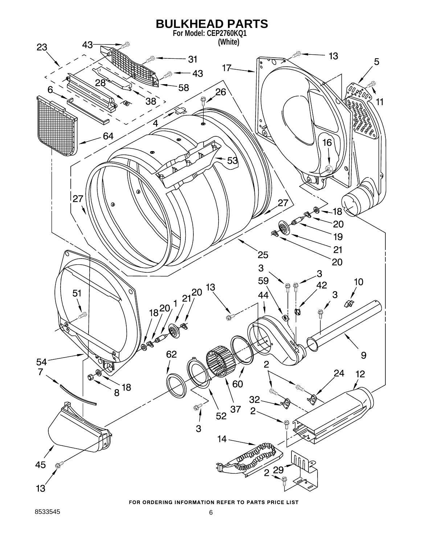